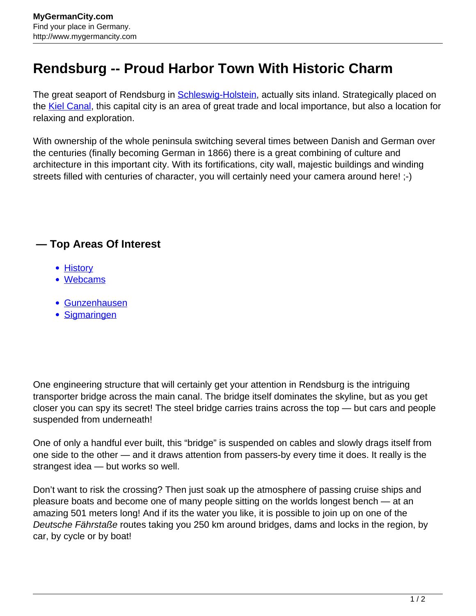## **Rendsburg -- Proud Harbor Town With Historic Charm**

The great seaport of Rendsburg in [Schleswig-Holstein,](http://www.mygermancity.com/schleswig-holstein) actually sits inland. Strategically placed on the [Kiel Canal](http://www.mygermancity.com/kiel-canal), this capital city is an area of great trade and local importance, but also a location for relaxing and exploration.

With ownership of the whole peninsula switching several times between Danish and German over the centuries (finally becoming German in 1866) there is a great combining of culture and architecture in this important city. With its fortifications, city wall, majestic buildings and winding streets filled with centuries of character, you will certainly need your camera around here! ;-)

## **— Top Areas Of Interest**

- **[History](http://www.mygermancity.com/leipzig-history)**
- [Webcams](http://www.mygermancity.com/neustadt-holstein-webcams)
- [Gunzenhausen](http://www.mygermancity.com/gunzenhausen)
- [Sigmaringen](http://www.mygermancity.com/sigmaringen)

One engineering structure that will certainly get your attention in Rendsburg is the intriguing transporter bridge across the main canal. The bridge itself dominates the skyline, but as you get closer you can spy its secret! The steel bridge carries trains across the top — but cars and people suspended from underneath!

One of only a handful ever built, this "bridge" is suspended on cables and slowly drags itself from one side to the other — and it draws attention from passers-by every time it does. It really is the strangest idea — but works so well.

Don't want to risk the crossing? Then just soak up the atmosphere of passing cruise ships and pleasure boats and become one of many people sitting on the worlds longest bench — at an amazing 501 meters long! And if its the water you like, it is possible to join up on one of the Deutsche Fährstaße routes taking you 250 km around bridges, dams and locks in the region, by car, by cycle or by boat!